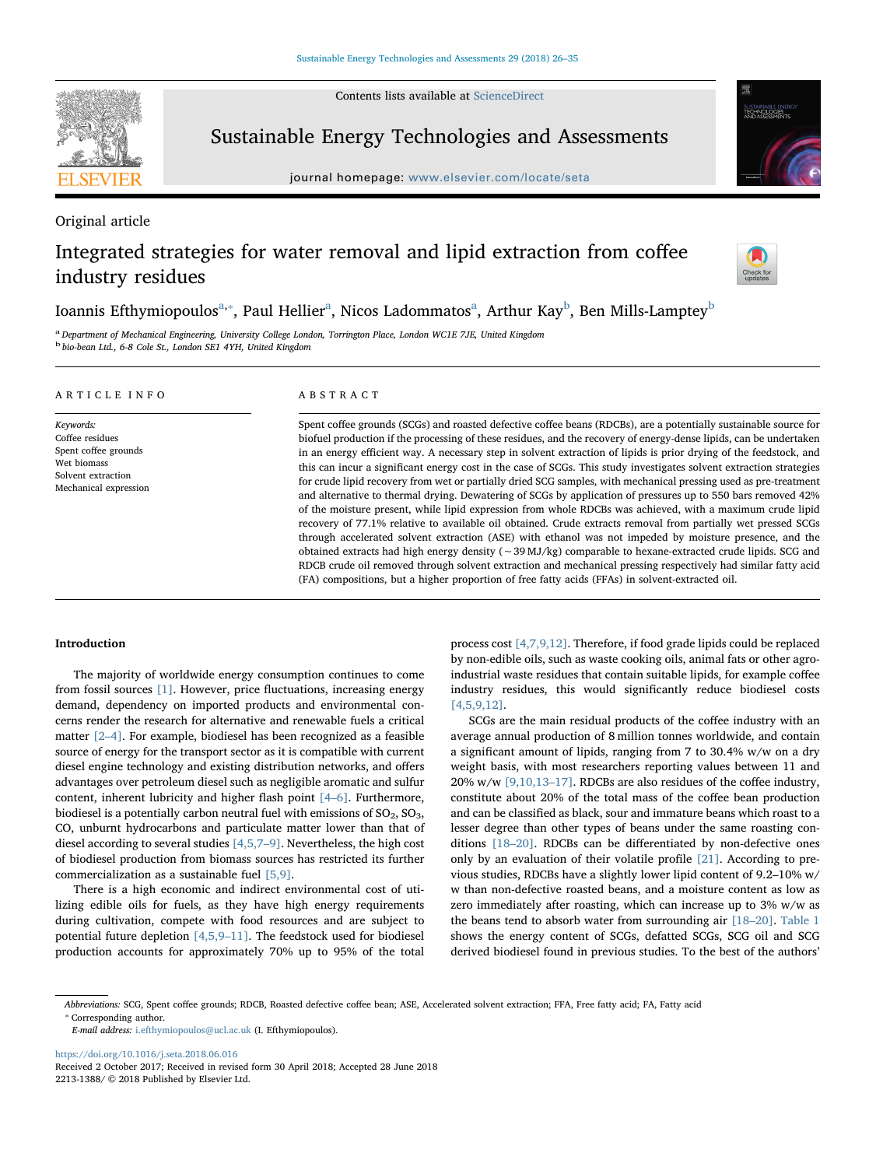Contents lists available at [ScienceDirect](http://www.sciencedirect.com/science/journal/22131388)



# Sustainable Energy Technologies and Assessments

journal homepage: [www.elsevier.com/locate/seta](https://www.elsevier.com/locate/seta)



# Original article

# Integrated strategies for water removal and lipid extraction from coffee industry residues



# Ioannis Efthymiopoulos<sup>[a,](#page-0-0)</sup>\*, P[a](#page-0-0)ul Hellier<sup>a</sup>, Nicos Ladommatos<sup>a</sup>, Arthur Kay<sup>[b](#page-0-2)</sup>, Ben Mills-Lamptey<sup>b</sup>

<span id="page-0-2"></span><span id="page-0-0"></span><sup>a</sup> Department of Mechanical Engineering, University College London, Torrington Place, London WC1E 7JE, United Kingdom <sup>b</sup> bio-bean Ltd., 6-8 Cole St., London SE1 4YH, United Kingdom

| ARTICLE INFO                                                                                                       | ABSTRACT                                                                                                                                                                                                                                                                                                                                                                                                                                                                                                                                                                                                                                                                                                                                                                                                                                                                                                                                                                                                                                                                                                                                                                                                                                                                                              |
|--------------------------------------------------------------------------------------------------------------------|-------------------------------------------------------------------------------------------------------------------------------------------------------------------------------------------------------------------------------------------------------------------------------------------------------------------------------------------------------------------------------------------------------------------------------------------------------------------------------------------------------------------------------------------------------------------------------------------------------------------------------------------------------------------------------------------------------------------------------------------------------------------------------------------------------------------------------------------------------------------------------------------------------------------------------------------------------------------------------------------------------------------------------------------------------------------------------------------------------------------------------------------------------------------------------------------------------------------------------------------------------------------------------------------------------|
| Keywords:<br>Coffee residues<br>Spent coffee grounds<br>Wet biomass<br>Solvent extraction<br>Mechanical expression | Spent coffee grounds (SCGs) and roasted defective coffee beans (RDCBs), are a potentially sustainable source for<br>biofuel production if the processing of these residues, and the recovery of energy-dense lipids, can be undertaken<br>in an energy efficient way. A necessary step in solvent extraction of lipids is prior drying of the feedstock, and<br>this can incur a significant energy cost in the case of SCGs. This study investigates solvent extraction strategies<br>for crude lipid recovery from wet or partially dried SCG samples, with mechanical pressing used as pre-treatment<br>and alternative to thermal drying. Dewatering of SCGs by application of pressures up to 550 bars removed 42%<br>of the moisture present, while lipid expression from whole RDCBs was achieved, with a maximum crude lipid<br>recovery of 77.1% relative to available oil obtained. Crude extracts removal from partially wet pressed SCGs<br>through accelerated solvent extraction (ASE) with ethanol was not impeded by moisture presence, and the<br>obtained extracts had high energy density ( $\sim$ 39 MJ/kg) comparable to hexane-extracted crude lipids. SCG and<br>RDCB crude oil removed through solvent extraction and mechanical pressing respectively had similar fatty acid |

(FA) compositions, but a higher proportion of free fatty acids (FFAs) in solvent-extracted oil.

## Introduction

The majority of worldwide energy consumption continues to come from fossil sources [\[1\].](#page-8-0) However, price fluctuations, increasing energy demand, dependency on imported products and environmental concerns render the research for alternative and renewable fuels a critical matter [\[2](#page-8-1)–4]. For example, biodiesel has been recognized as a feasible source of energy for the transport sector as it is compatible with current diesel engine technology and existing distribution networks, and offers advantages over petroleum diesel such as negligible aromatic and sulfur content, inherent lubricity and higher flash point [4–[6\].](#page-8-2) Furthermore, biodiesel is a potentially carbon neutral fuel with emissions of  $SO_2$ ,  $SO_3$ , CO, unburnt hydrocarbons and particulate matter lower than that of diesel according to several studies [\[4,5,7](#page-8-2)–9]. Nevertheless, the high cost of biodiesel production from biomass sources has restricted its further commercialization as a sustainable fuel [\[5,9\]](#page-8-3).

There is a high economic and indirect environmental cost of utilizing edible oils for fuels, as they have high energy requirements during cultivation, compete with food resources and are subject to potential future depletion [\[4,5,9](#page-8-2)–11]. The feedstock used for biodiesel production accounts for approximately 70% up to 95% of the total process cost [\[4,7,9,12\]](#page-8-2). Therefore, if food grade lipids could be replaced by non-edible oils, such as waste cooking oils, animal fats or other agroindustrial waste residues that contain suitable lipids, for example coffee industry residues, this would significantly reduce biodiesel costs [\[4,5,9,12\]](#page-8-2).

SCGs are the main residual products of the coffee industry with an average annual production of 8 million tonnes worldwide, and contain a significant amount of lipids, ranging from 7 to 30.4% w/w on a dry weight basis, with most researchers reporting values between 11 and 20% w/w [\[9,10,13](#page-9-0)–17]. RDCBs are also residues of the coffee industry, constitute about 20% of the total mass of the coffee bean production and can be classified as black, sour and immature beans which roast to a lesser degree than other types of beans under the same roasting conditions [18–[20\]](#page-9-1). RDCBs can be differentiated by non-defective ones only by an evaluation of their volatile profile [\[21\]](#page-9-2). According to previous studies, RDCBs have a slightly lower lipid content of 9.2–10% w/ w than non-defective roasted beans, and a moisture content as low as zero immediately after roasting, which can increase up to 3% w/w as the beans tend to absorb water from surrounding air [\[18](#page-9-1)–20]. [Table 1](#page-1-0) shows the energy content of SCGs, defatted SCGs, SCG oil and SCG derived biodiesel found in previous studies. To the best of the authors'

<https://doi.org/10.1016/j.seta.2018.06.016> Received 2 October 2017; Received in revised form 30 April 2018; Accepted 28 June 2018 2213-1388/ © 2018 Published by Elsevier Ltd.

<span id="page-0-1"></span><sup>⁎</sup> Corresponding author. Abbreviations: SCG, Spent coffee grounds; RDCB, Roasted defective coffee bean; ASE, Accelerated solvent extraction; FFA, Free fatty acid; FA, Fatty acid

E-mail address: [i.efthymiopoulos@ucl.ac.uk](mailto:i.efthymiopoulos@ucl.ac.uk) (I. Efthymiopoulos).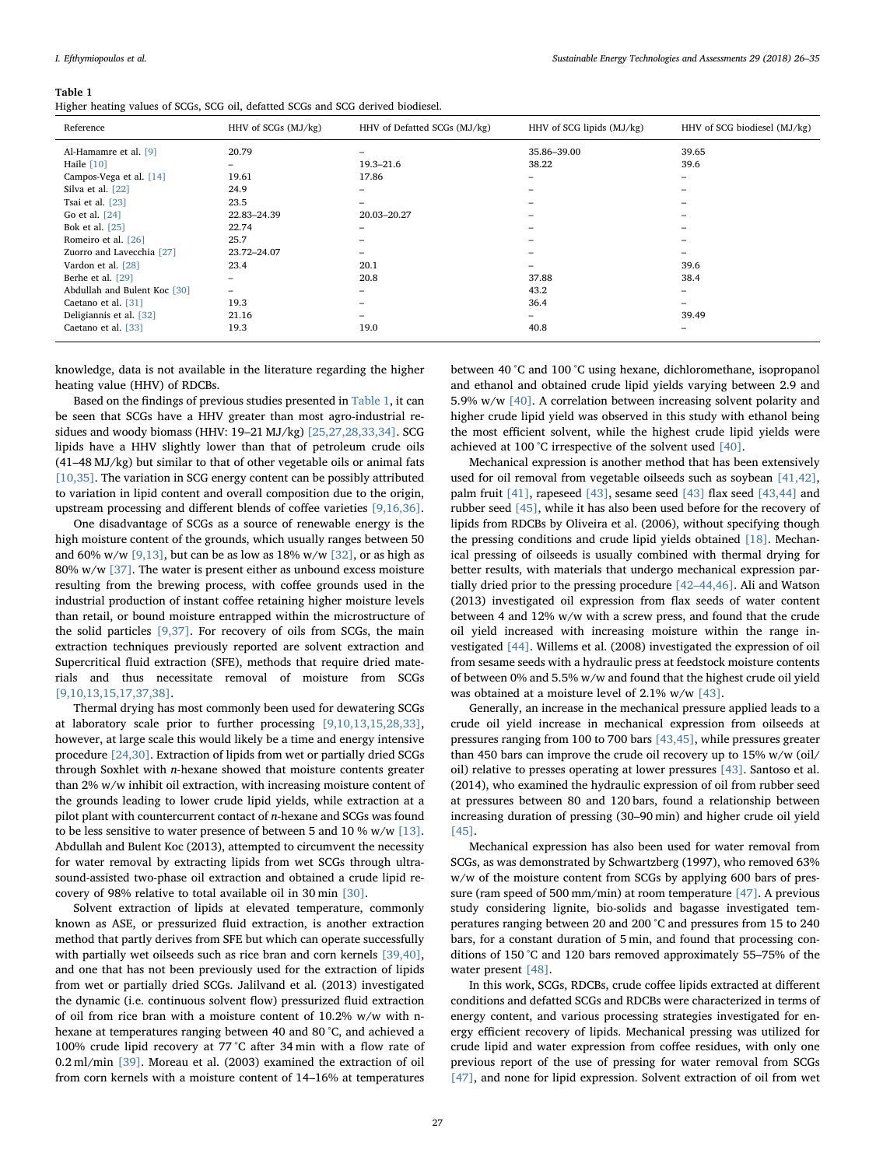#### <span id="page-1-0"></span>Table 1

Higher heating values of SCGs, SCG oil, defatted SCGs and SCG derived biodiesel.

| Reference                    | HHV of SCGs (MJ/kg) | HHV of Defatted SCGs (MJ/kg) | HHV of SCG lipids (MJ/kg) | HHV of SCG biodiesel (MJ/kg) |
|------------------------------|---------------------|------------------------------|---------------------------|------------------------------|
| Al-Hamamre et al. [9]        | 20.79               | -                            | 35.86-39.00               | 39.65                        |
| Haile $[10]$                 | -                   | 19.3–21.6                    | 38.22                     | 39.6                         |
| Campos-Vega et al. [14]      | 19.61               | 17.86                        | $\overline{\phantom{0}}$  | $\overline{\phantom{0}}$     |
| Silva et al. [22]            | 24.9                | -                            | $\overline{\phantom{0}}$  | $\qquad \qquad$              |
| Tsai et al. [23]             | 23.5                |                              | $\overline{\phantom{0}}$  | $\overline{\phantom{a}}$     |
| Go et al. [24]               | 22.83-24.39         | 20.03-20.27                  | $\overline{\phantom{a}}$  | $\overline{\phantom{a}}$     |
| Bok et al. [25]              | 22.74               | -                            | -                         | $\overline{\phantom{a}}$     |
| Romeiro et al. [26]          | 25.7                |                              | $\overline{\phantom{a}}$  | $\overline{\phantom{a}}$     |
| Zuorro and Lavecchia [27]    | 23.72-24.07         |                              | -                         |                              |
| Vardon et al. [28]           | 23.4                | 20.1                         | $\overline{\phantom{0}}$  | 39.6                         |
| Berhe et al. [29]            | -                   | 20.8                         | 37.88                     | 38.4                         |
| Abdullah and Bulent Koc [30] | -                   |                              | 43.2                      | $\qquad \qquad$              |
| Caetano et al. [31]          | 19.3                |                              | 36.4                      | $\overline{\phantom{a}}$     |
| Deligiannis et al. [32]      | 21.16               |                              | $-$                       | 39.49                        |
| Caetano et al. [33]          | 19.3                | 19.0                         | 40.8                      | $\overline{\phantom{0}}$     |

knowledge, data is not available in the literature regarding the higher heating value (HHV) of RDCBs.

Based on the findings of previous studies presented in [Table 1](#page-1-0), it can be seen that SCGs have a HHV greater than most agro-industrial residues and woody biomass (HHV: 19–21 MJ/kg) [\[25,27,28,33,34\].](#page-9-3) SCG lipids have a HHV slightly lower than that of petroleum crude oils (41–48 MJ/kg) but similar to that of other vegetable oils or animal fats [\[10,35\].](#page-9-4) The variation in SCG energy content can be possibly attributed to variation in lipid content and overall composition due to the origin, upstream processing and different blends of coffee varieties [\[9,16,36\]](#page-9-0).

One disadvantage of SCGs as a source of renewable energy is the high moisture content of the grounds, which usually ranges between 50 and 60% w/w  $[9,13]$ , but can be as low as 18% w/w  $[32]$ , or as high as 80% w/w [\[37\].](#page-9-6) The water is present either as unbound excess moisture resulting from the brewing process, with coffee grounds used in the industrial production of instant coffee retaining higher moisture levels than retail, or bound moisture entrapped within the microstructure of the solid particles [\[9,37\]](#page-9-0). For recovery of oils from SCGs, the main extraction techniques previously reported are solvent extraction and Supercritical fluid extraction (SFE), methods that require dried materials and thus necessitate removal of moisture from SCGs [\[9,10,13,15,17,37,38\]](#page-9-0).

Thermal drying has most commonly been used for dewatering SCGs at laboratory scale prior to further processing [\[9,10,13,15,28,33\]](#page-9-0), however, at large scale this would likely be a time and energy intensive procedure [\[24,30\]](#page-9-7). Extraction of lipids from wet or partially dried SCGs through Soxhlet with n-hexane showed that moisture contents greater than 2% w/w inhibit oil extraction, with increasing moisture content of the grounds leading to lower crude lipid yields, while extraction at a pilot plant with countercurrent contact of  $n$ -hexane and SCGs was found to be less sensitive to water presence of between 5 and 10 % w/w [\[13\]](#page-9-8). Abdullah and Bulent Koc (2013), attempted to circumvent the necessity for water removal by extracting lipids from wet SCGs through ultrasound-assisted two-phase oil extraction and obtained a crude lipid recovery of 98% relative to total available oil in 30 min [\[30\]](#page-9-9).

Solvent extraction of lipids at elevated temperature, commonly known as ASE, or pressurized fluid extraction, is another extraction method that partly derives from SFE but which can operate successfully with partially wet oilseeds such as rice bran and corn kernels [\[39,40\]](#page-9-10), and one that has not been previously used for the extraction of lipids from wet or partially dried SCGs. Jalilvand et al. (2013) investigated the dynamic (i.e. continuous solvent flow) pressurized fluid extraction of oil from rice bran with a moisture content of 10.2% w/w with nhexane at temperatures ranging between 40 and 80 °C, and achieved a 100% crude lipid recovery at 77 °C after 34 min with a flow rate of 0.2 ml/min [\[39\].](#page-9-10) Moreau et al. (2003) examined the extraction of oil from corn kernels with a moisture content of 14–16% at temperatures between 40 °C and 100 °C using hexane, dichloromethane, isopropanol and ethanol and obtained crude lipid yields varying between 2.9 and 5.9% w/w [\[40\].](#page-9-11) A correlation between increasing solvent polarity and higher crude lipid yield was observed in this study with ethanol being the most efficient solvent, while the highest crude lipid yields were achieved at 100 °C irrespective of the solvent used [\[40\].](#page-9-11)

Mechanical expression is another method that has been extensively used for oil removal from vegetable oilseeds such as soybean [\[41,42\]](#page-9-12), palm fruit [\[41\]](#page-9-12), rapeseed [\[43\],](#page-9-13) sesame seed [\[43\]](#page-9-13) flax seed [\[43,44\]](#page-9-13) and rubber seed [\[45\],](#page-9-14) while it has also been used before for the recovery of lipids from RDCBs by Oliveira et al. (2006), without specifying though the pressing conditions and crude lipid yields obtained [\[18\]](#page-9-1). Mechanical pressing of oilseeds is usually combined with thermal drying for better results, with materials that undergo mechanical expression partially dried prior to the pressing procedure [42–[44,46\]](#page-9-15). Ali and Watson (2013) investigated oil expression from flax seeds of water content between 4 and 12% w/w with a screw press, and found that the crude oil yield increased with increasing moisture within the range investigated [\[44\]](#page-9-16). Willems et al. (2008) investigated the expression of oil from sesame seeds with a hydraulic press at feedstock moisture contents of between 0% and 5.5% w/w and found that the highest crude oil yield was obtained at a moisture level of 2.1% w/w [\[43\].](#page-9-13)

Generally, an increase in the mechanical pressure applied leads to a crude oil yield increase in mechanical expression from oilseeds at pressures ranging from 100 to 700 bars [\[43,45\]](#page-9-13), while pressures greater than 450 bars can improve the crude oil recovery up to 15% w/w (oil/ oil) relative to presses operating at lower pressures [\[43\].](#page-9-13) Santoso et al. (2014), who examined the hydraulic expression of oil from rubber seed at pressures between 80 and 120 bars, found a relationship between increasing duration of pressing (30–90 min) and higher crude oil yield [\[45\]](#page-9-14).

Mechanical expression has also been used for water removal from SCGs, as was demonstrated by Schwartzberg (1997), who removed 63% w/w of the moisture content from SCGs by applying 600 bars of pressure (ram speed of 500 mm/min) at room temperature [\[47\].](#page-9-17) A previous study considering lignite, bio-solids and bagasse investigated temperatures ranging between 20 and 200 °C and pressures from 15 to 240 bars, for a constant duration of 5 min, and found that processing conditions of 150 °C and 120 bars removed approximately 55–75% of the water present [\[48\]](#page-9-18).

In this work, SCGs, RDCBs, crude coffee lipids extracted at different conditions and defatted SCGs and RDCBs were characterized in terms of energy content, and various processing strategies investigated for energy efficient recovery of lipids. Mechanical pressing was utilized for crude lipid and water expression from coffee residues, with only one previous report of the use of pressing for water removal from SCGs [\[47\]](#page-9-17), and none for lipid expression. Solvent extraction of oil from wet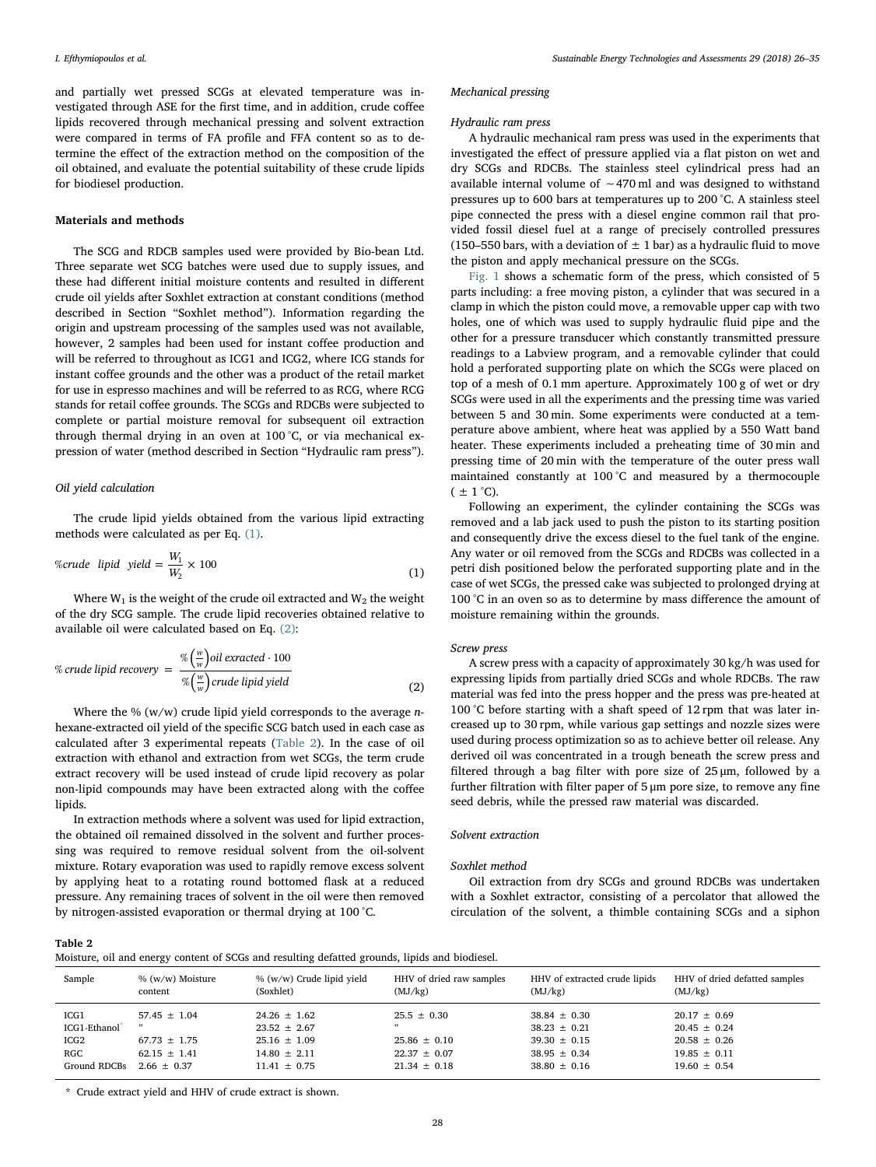and partially wet pressed SCGs at elevated temperature was investigated through ASE for the first time, and in addition, crude coffee lipids recovered through mechanical pressing and solvent extraction were compared in terms of FA profile and FFA content so as to determine the effect of the extraction method on the composition of the oil obtained, and evaluate the potential suitability of these crude lipids for biodiesel production.

## Materials and methods

The SCG and RDCB samples used were provided by Bio-bean Ltd. Three separate wet SCG batches were used due to supply issues, and these had different initial moisture contents and resulted in different crude oil yields after Soxhlet extraction at constant conditions (method described in Section "Soxhlet method"). Information regarding the origin and upstream processing of the samples used was not available, however, 2 samples had been used for instant coffee production and will be referred to throughout as ICG1 and ICG2, where ICG stands for instant coffee grounds and the other was a product of the retail market for use in espresso machines and will be referred to as RCG, where RCG stands for retail coffee grounds. The SCGs and RDCBs were subjected to complete or partial moisture removal for subsequent oil extraction through thermal drying in an oven at 100 °C, or via mechanical expression of water (method described in Section "Hydraulic ram press").

# Oil yield calculation

<span id="page-2-0"></span>The crude lipid yields obtained from the various lipid extracting methods were calculated as per Eq. [\(1\)](#page-2-0).

%crude lipid yield 
$$
=\frac{W_1}{W_2} \times 100
$$
 (1)

<span id="page-2-1"></span>Where  $W_1$  is the weight of the crude oil extracted and  $W_2$  the weight of the dry SCG sample. The crude lipid recoveries obtained relative to available oil were calculated based on Eq. [\(2\):](#page-2-1)

% crude lipid recovery = 
$$
\frac{\% \left(\frac{w}{w}\right) oil\ extracted \cdot 100}{\% \left(\frac{w}{w}\right) crude\ lipid\ yield}
$$
 (2)

Where the %  $(w/w)$  crude lipid yield corresponds to the average *n*hexane-extracted oil yield of the specific SCG batch used in each case as calculated after 3 experimental repeats ([Table 2](#page-2-2)). In the case of oil extraction with ethanol and extraction from wet SCGs, the term crude extract recovery will be used instead of crude lipid recovery as polar non-lipid compounds may have been extracted along with the coffee lipids.

In extraction methods where a solvent was used for lipid extraction, the obtained oil remained dissolved in the solvent and further processing was required to remove residual solvent from the oil-solvent mixture. Rotary evaporation was used to rapidly remove excess solvent by applying heat to a rotating round bottomed flask at a reduced pressure. Any remaining traces of solvent in the oil were then removed by nitrogen-assisted evaporation or thermal drying at 100 °C.

### Mechanical pressing

### Hydraulic ram press

A hydraulic mechanical ram press was used in the experiments that investigated the effect of pressure applied via a flat piston on wet and dry SCGs and RDCBs. The stainless steel cylindrical press had an available internal volume of ∼470 ml and was designed to withstand pressures up to 600 bars at temperatures up to 200 °C. A stainless steel pipe connected the press with a diesel engine common rail that provided fossil diesel fuel at a range of precisely controlled pressures (150–550 bars, with a deviation of  $\pm$  1 bar) as a hydraulic fluid to move the piston and apply mechanical pressure on the SCGs.

[Fig. 1](#page-3-0) shows a schematic form of the press, which consisted of 5 parts including: a free moving piston, a cylinder that was secured in a clamp in which the piston could move, a removable upper cap with two holes, one of which was used to supply hydraulic fluid pipe and the other for a pressure transducer which constantly transmitted pressure readings to a Labview program, and a removable cylinder that could hold a perforated supporting plate on which the SCGs were placed on top of a mesh of 0.1 mm aperture. Approximately 100 g of wet or dry SCGs were used in all the experiments and the pressing time was varied between 5 and 30 min. Some experiments were conducted at a temperature above ambient, where heat was applied by a 550 Watt band heater. These experiments included a preheating time of 30 min and pressing time of 20 min with the temperature of the outer press wall maintained constantly at 100 °C and measured by a thermocouple  $( \pm 1 \degree C)$ .

Following an experiment, the cylinder containing the SCGs was removed and a lab jack used to push the piston to its starting position and consequently drive the excess diesel to the fuel tank of the engine. Any water or oil removed from the SCGs and RDCBs was collected in a petri dish positioned below the perforated supporting plate and in the case of wet SCGs, the pressed cake was subjected to prolonged drying at 100 °C in an oven so as to determine by mass difference the amount of moisture remaining within the grounds.

### Screw press

A screw press with a capacity of approximately 30 kg/h was used for expressing lipids from partially dried SCGs and whole RDCBs. The raw material was fed into the press hopper and the press was pre-heated at 100 °C before starting with a shaft speed of 12 rpm that was later increased up to 30 rpm, while various gap settings and nozzle sizes were used during process optimization so as to achieve better oil release. Any derived oil was concentrated in a trough beneath the screw press and filtered through a bag filter with pore size of 25 μm, followed by a further filtration with filter paper of 5 μm pore size, to remove any fine seed debris, while the pressed raw material was discarded.

## Solvent extraction

## Soxhlet method

Oil extraction from dry SCGs and ground RDCBs was undertaken with a Soxhlet extractor, consisting of a percolator that allowed the circulation of the solvent, a thimble containing SCGs and a siphon

## <span id="page-2-2"></span>Table 2

| Moisture, oil and energy content of SCGs and resulting defatted grounds, lipids and biodiesel. |  |  |  |  |  |  |  |  |
|------------------------------------------------------------------------------------------------|--|--|--|--|--|--|--|--|
|------------------------------------------------------------------------------------------------|--|--|--|--|--|--|--|--|

| Sample       | % (w/w) Moisture | % (w/w) Crude lipid yield | HHV of dried raw samples | HHV of extracted crude lipids | HHV of dried defatted samples |
|--------------|------------------|---------------------------|--------------------------|-------------------------------|-------------------------------|
|              | content          | (Soxhlet)                 | (MJ/kg)                  | (MJ/kg)                       | (MJ/kg)                       |
| ICG1         | $57.45 \pm 1.04$ | $24.26 \pm 1.62$          | $25.5 \pm 0.30$          | $38.84 \pm 0.30$              | $20.17 \pm 0.69$              |
| ICG1-Ethanol | , ,              | $23.52 \pm 2.67$          | , ,                      | $38.23 \pm 0.21$              | $20.45 \pm 0.24$              |
| ICG2         | $67.73 \pm 1.75$ | $25.16 \pm 1.09$          | $25.86 \pm 0.10$         | $39.30 \pm 0.15$              | $20.58 \pm 0.26$              |
| RGC          | $62.15 \pm 1.41$ | $14.80 \pm 2.11$          | $22.37 \pm 0.07$         | $38.95 \pm 0.34$              | $19.85 \pm 0.11$              |
| Ground RDCBs | $2.66 + 0.37$    | $11.41 \pm 0.75$          | $21.34 \pm 0.18$         | $38.80 \pm 0.16$              | $19.60 \pm 0.54$              |

<span id="page-2-3"></span>\* Crude extract yield and HHV of crude extract is shown.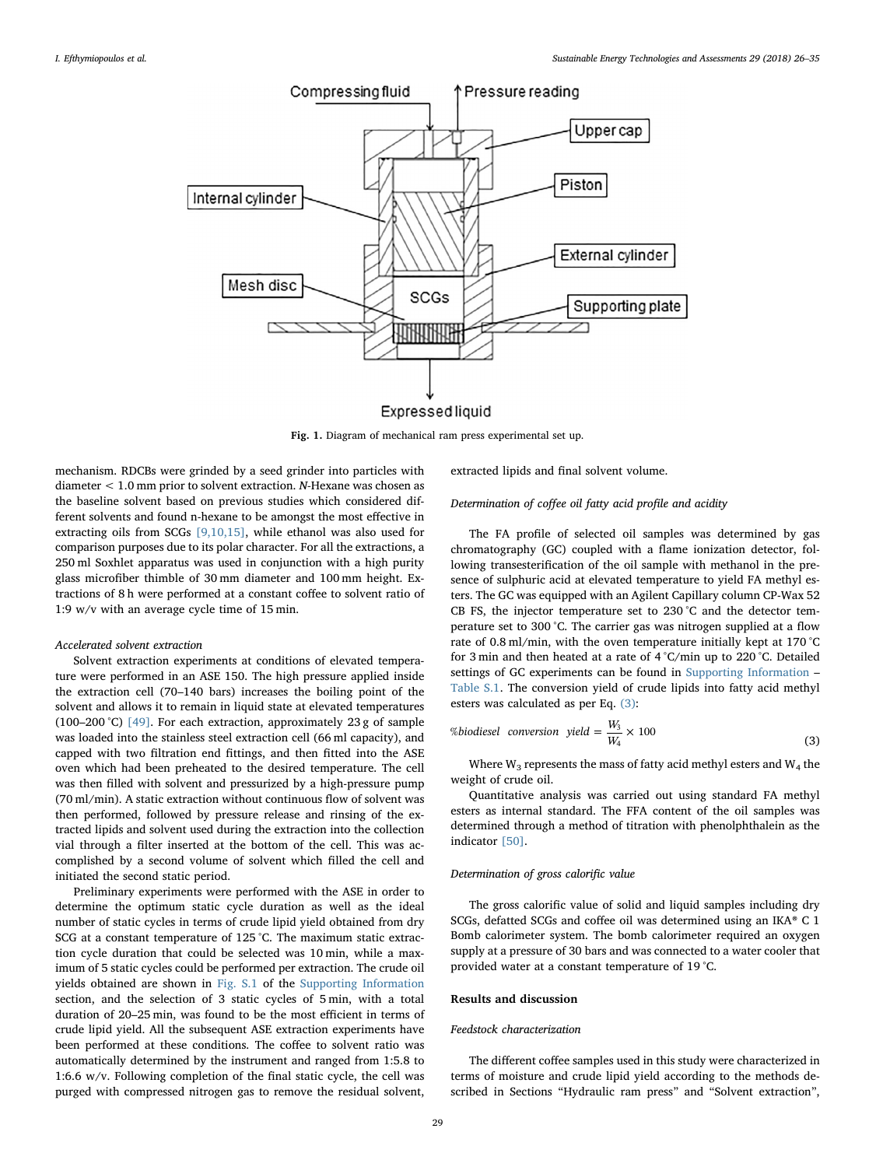<span id="page-3-0"></span>

Expressed liquid

Fig. 1. Diagram of mechanical ram press experimental set up.

mechanism. RDCBs were grinded by a seed grinder into particles with diameter < 1.0 mm prior to solvent extraction. N-Hexane was chosen as the baseline solvent based on previous studies which considered different solvents and found n-hexane to be amongst the most effective in extracting oils from SCGs [\[9,10,15\],](#page-9-0) while ethanol was also used for comparison purposes due to its polar character. For all the extractions, a 250 ml Soxhlet apparatus was used in conjunction with a high purity glass microfiber thimble of 30 mm diameter and 100 mm height. Extractions of 8 h were performed at a constant coffee to solvent ratio of 1:9 w/v with an average cycle time of 15 min.

## Accelerated solvent extraction

Solvent extraction experiments at conditions of elevated temperature were performed in an ASE 150. The high pressure applied inside the extraction cell (70–140 bars) increases the boiling point of the solvent and allows it to remain in liquid state at elevated temperatures (100–200 °C) [\[49\]](#page-9-28). For each extraction, approximately 23 g of sample was loaded into the stainless steel extraction cell (66 ml capacity), and capped with two filtration end fittings, and then fitted into the ASE oven which had been preheated to the desired temperature. The cell was then filled with solvent and pressurized by a high-pressure pump (70 ml/min). A static extraction without continuous flow of solvent was then performed, followed by pressure release and rinsing of the extracted lipids and solvent used during the extraction into the collection vial through a filter inserted at the bottom of the cell. This was accomplished by a second volume of solvent which filled the cell and initiated the second static period.

Preliminary experiments were performed with the ASE in order to determine the optimum static cycle duration as well as the ideal number of static cycles in terms of crude lipid yield obtained from dry SCG at a constant temperature of 125 °C. The maximum static extraction cycle duration that could be selected was 10 min, while a maximum of 5 static cycles could be performed per extraction. The crude oil yields obtained are shown in Fig. S.1 of the Supporting Information section, and the selection of 3 static cycles of 5 min, with a total duration of 20–25 min, was found to be the most efficient in terms of crude lipid yield. All the subsequent ASE extraction experiments have been performed at these conditions. The coffee to solvent ratio was automatically determined by the instrument and ranged from 1:5.8 to 1:6.6 w/v. Following completion of the final static cycle, the cell was purged with compressed nitrogen gas to remove the residual solvent,

extracted lipids and final solvent volume.

# Determination of coffee oil fatty acid profile and acidity

The FA profile of selected oil samples was determined by gas chromatography (GC) coupled with a flame ionization detector, following transesterification of the oil sample with methanol in the presence of sulphuric acid at elevated temperature to yield FA methyl esters. The GC was equipped with an Agilent Capillary column CP-Wax 52 CB FS, the injector temperature set to 230 °C and the detector temperature set to 300 °C. The carrier gas was nitrogen supplied at a flow rate of 0.8 ml/min, with the oven temperature initially kept at 170 °C for 3 min and then heated at a rate of 4 °C/min up to 220 °C. Detailed settings of GC experiments can be found in Supporting Information – Table S.1. The conversion yield of crude lipids into fatty acid methyl esters was calculated as per Eq. [\(3\)](#page-3-1):

<span id="page-3-1"></span>
$$
\%biodiesel conversion yield = \frac{W_3}{W_4} \times 100
$$
\n(3)

Where  $W_3$  represents the mass of fatty acid methyl esters and  $W_4$  the weight of crude oil.

Quantitative analysis was carried out using standard FA methyl esters as internal standard. The FFA content of the oil samples was determined through a method of titration with phenolphthalein as the indicator [\[50\].](#page-9-29)

## Determination of gross calorific value

The gross calorific value of solid and liquid samples including dry SCGs, defatted SCGs and coffee oil was determined using an IKA® C 1 Bomb calorimeter system. The bomb calorimeter required an oxygen supply at a pressure of 30 bars and was connected to a water cooler that provided water at a constant temperature of 19 °C.

## Results and discussion

### Feedstock characterization

The different coffee samples used in this study were characterized in terms of moisture and crude lipid yield according to the methods described in Sections "Hydraulic ram press" and "Solvent extraction",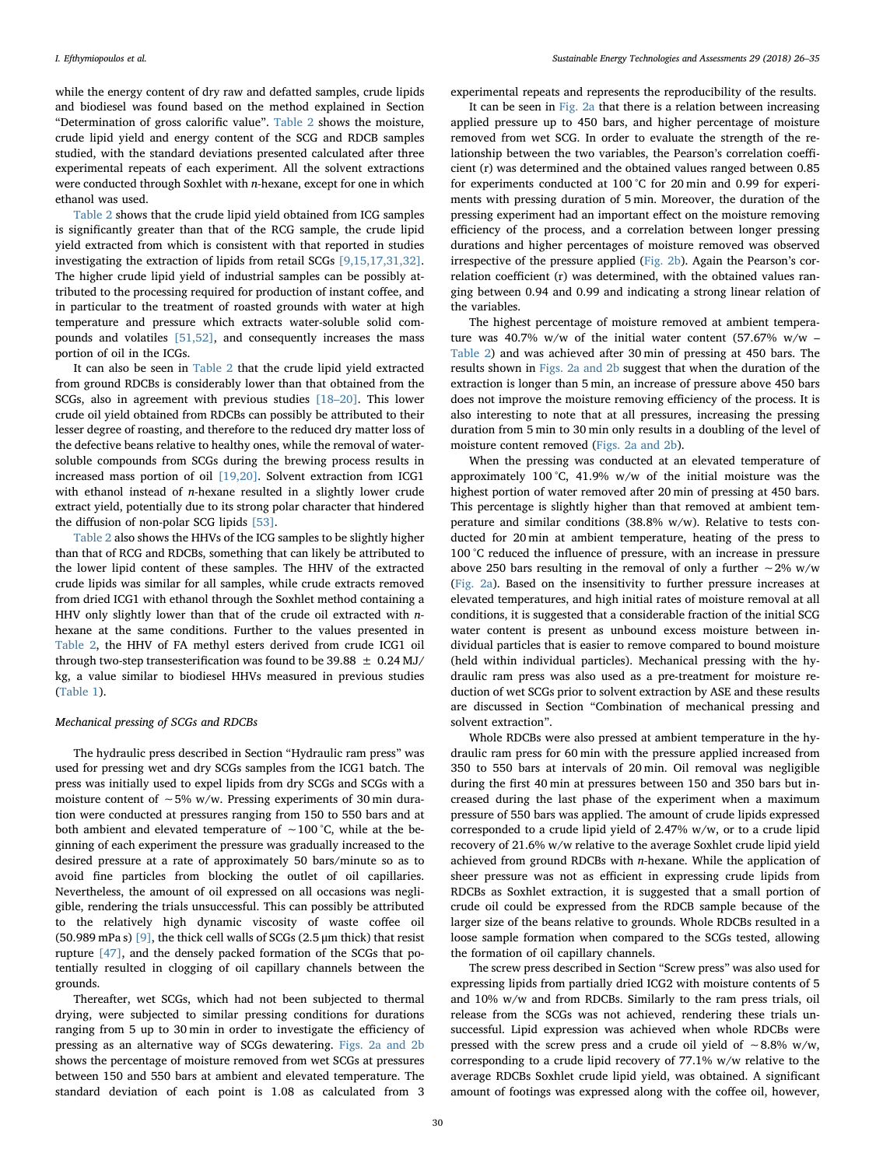while the energy content of dry raw and defatted samples, crude lipids and biodiesel was found based on the method explained in Section "Determination of gross calorific value". [Table 2](#page-2-2) shows the moisture, crude lipid yield and energy content of the SCG and RDCB samples studied, with the standard deviations presented calculated after three experimental repeats of each experiment. All the solvent extractions were conducted through Soxhlet with n-hexane, except for one in which ethanol was used.

[Table 2](#page-2-2) shows that the crude lipid yield obtained from ICG samples is significantly greater than that of the RCG sample, the crude lipid yield extracted from which is consistent with that reported in studies investigating the extraction of lipids from retail SCGs [\[9,15,17,31,32\]](#page-9-0). The higher crude lipid yield of industrial samples can be possibly attributed to the processing required for production of instant coffee, and in particular to the treatment of roasted grounds with water at high temperature and pressure which extracts water-soluble solid compounds and volatiles [\[51,52\]](#page-9-30), and consequently increases the mass portion of oil in the ICGs.

It can also be seen in [Table 2](#page-2-2) that the crude lipid yield extracted from ground RDCBs is considerably lower than that obtained from the SCGs, also in agreement with previous studies [\[18](#page-9-1)–20]. This lower crude oil yield obtained from RDCBs can possibly be attributed to their lesser degree of roasting, and therefore to the reduced dry matter loss of the defective beans relative to healthy ones, while the removal of watersoluble compounds from SCGs during the brewing process results in increased mass portion of oil [\[19,20\]](#page-9-31). Solvent extraction from ICG1 with ethanol instead of n-hexane resulted in a slightly lower crude extract yield, potentially due to its strong polar character that hindered the diffusion of non-polar SCG lipids [\[53\].](#page-9-32)

[Table 2](#page-2-2) also shows the HHVs of the ICG samples to be slightly higher than that of RCG and RDCBs, something that can likely be attributed to the lower lipid content of these samples. The HHV of the extracted crude lipids was similar for all samples, while crude extracts removed from dried ICG1 with ethanol through the Soxhlet method containing a HHV only slightly lower than that of the crude oil extracted with nhexane at the same conditions. Further to the values presented in [Table 2](#page-2-2), the HHV of FA methyl esters derived from crude ICG1 oil through two-step transesterification was found to be 39.88  $\pm$  0.24 MJ/ kg, a value similar to biodiesel HHVs measured in previous studies ([Table 1](#page-1-0)).

#### Mechanical pressing of SCGs and RDCBs

The hydraulic press described in Section "Hydraulic ram press" was used for pressing wet and dry SCGs samples from the ICG1 batch. The press was initially used to expel lipids from dry SCGs and SCGs with a moisture content of ∼5% w/w. Pressing experiments of 30 min duration were conducted at pressures ranging from 150 to 550 bars and at both ambient and elevated temperature of ∼100 °C, while at the beginning of each experiment the pressure was gradually increased to the desired pressure at a rate of approximately 50 bars/minute so as to avoid fine particles from blocking the outlet of oil capillaries. Nevertheless, the amount of oil expressed on all occasions was negligible, rendering the trials unsuccessful. This can possibly be attributed to the relatively high dynamic viscosity of waste coffee oil (50.989 mPa s) [\[9\]](#page-9-0), the thick cell walls of SCGs (2.5  $\mu$ m thick) that resist rupture [\[47\],](#page-9-17) and the densely packed formation of the SCGs that potentially resulted in clogging of oil capillary channels between the grounds.

Thereafter, wet SCGs, which had not been subjected to thermal drying, were subjected to similar pressing conditions for durations ranging from 5 up to 30 min in order to investigate the efficiency of pressing as an alternative way of SCGs dewatering. [Figs. 2a and 2b](#page-5-0) shows the percentage of moisture removed from wet SCGs at pressures between 150 and 550 bars at ambient and elevated temperature. The standard deviation of each point is 1.08 as calculated from 3 experimental repeats and represents the reproducibility of the results.

It can be seen in [Fig. 2a](#page-5-0) that there is a relation between increasing applied pressure up to 450 bars, and higher percentage of moisture removed from wet SCG. In order to evaluate the strength of the relationship between the two variables, the Pearson's correlation coefficient (r) was determined and the obtained values ranged between 0.85 for experiments conducted at 100 °C for 20 min and 0.99 for experiments with pressing duration of 5 min. Moreover, the duration of the pressing experiment had an important effect on the moisture removing efficiency of the process, and a correlation between longer pressing durations and higher percentages of moisture removed was observed irrespective of the pressure applied [\(Fig. 2b](#page-5-1)). Again the Pearson's correlation coefficient (r) was determined, with the obtained values ranging between 0.94 and 0.99 and indicating a strong linear relation of the variables.

The highest percentage of moisture removed at ambient temperature was 40.7% w/w of the initial water content (57.67% w/w – [Table 2\)](#page-2-2) and was achieved after 30 min of pressing at 450 bars. The results shown in [Figs. 2a and 2b](#page-5-0) suggest that when the duration of the extraction is longer than 5 min, an increase of pressure above 450 bars does not improve the moisture removing efficiency of the process. It is also interesting to note that at all pressures, increasing the pressing duration from 5 min to 30 min only results in a doubling of the level of moisture content removed ([Figs. 2a and 2b\)](#page-5-0).

When the pressing was conducted at an elevated temperature of approximately 100 °C, 41.9% w/w of the initial moisture was the highest portion of water removed after 20 min of pressing at 450 bars. This percentage is slightly higher than that removed at ambient temperature and similar conditions (38.8% w/w). Relative to tests conducted for 20 min at ambient temperature, heating of the press to 100 °C reduced the influence of pressure, with an increase in pressure above 250 bars resulting in the removal of only a further ∼2% w/w ([Fig. 2a](#page-5-0)). Based on the insensitivity to further pressure increases at elevated temperatures, and high initial rates of moisture removal at all conditions, it is suggested that a considerable fraction of the initial SCG water content is present as unbound excess moisture between individual particles that is easier to remove compared to bound moisture (held within individual particles). Mechanical pressing with the hydraulic ram press was also used as a pre-treatment for moisture reduction of wet SCGs prior to solvent extraction by ASE and these results are discussed in Section "Combination of mechanical pressing and solvent extraction".

Whole RDCBs were also pressed at ambient temperature in the hydraulic ram press for 60 min with the pressure applied increased from 350 to 550 bars at intervals of 20 min. Oil removal was negligible during the first 40 min at pressures between 150 and 350 bars but increased during the last phase of the experiment when a maximum pressure of 550 bars was applied. The amount of crude lipids expressed corresponded to a crude lipid yield of 2.47% w/w, or to a crude lipid recovery of 21.6% w/w relative to the average Soxhlet crude lipid yield achieved from ground RDCBs with n-hexane. While the application of sheer pressure was not as efficient in expressing crude lipids from RDCBs as Soxhlet extraction, it is suggested that a small portion of crude oil could be expressed from the RDCB sample because of the larger size of the beans relative to grounds. Whole RDCBs resulted in a loose sample formation when compared to the SCGs tested, allowing the formation of oil capillary channels.

The screw press described in Section "Screw press" was also used for expressing lipids from partially dried ICG2 with moisture contents of 5 and 10% w/w and from RDCBs. Similarly to the ram press trials, oil release from the SCGs was not achieved, rendering these trials unsuccessful. Lipid expression was achieved when whole RDCBs were pressed with the screw press and a crude oil yield of ∼8.8% w/w, corresponding to a crude lipid recovery of 77.1% w/w relative to the average RDCBs Soxhlet crude lipid yield, was obtained. A significant amount of footings was expressed along with the coffee oil, however,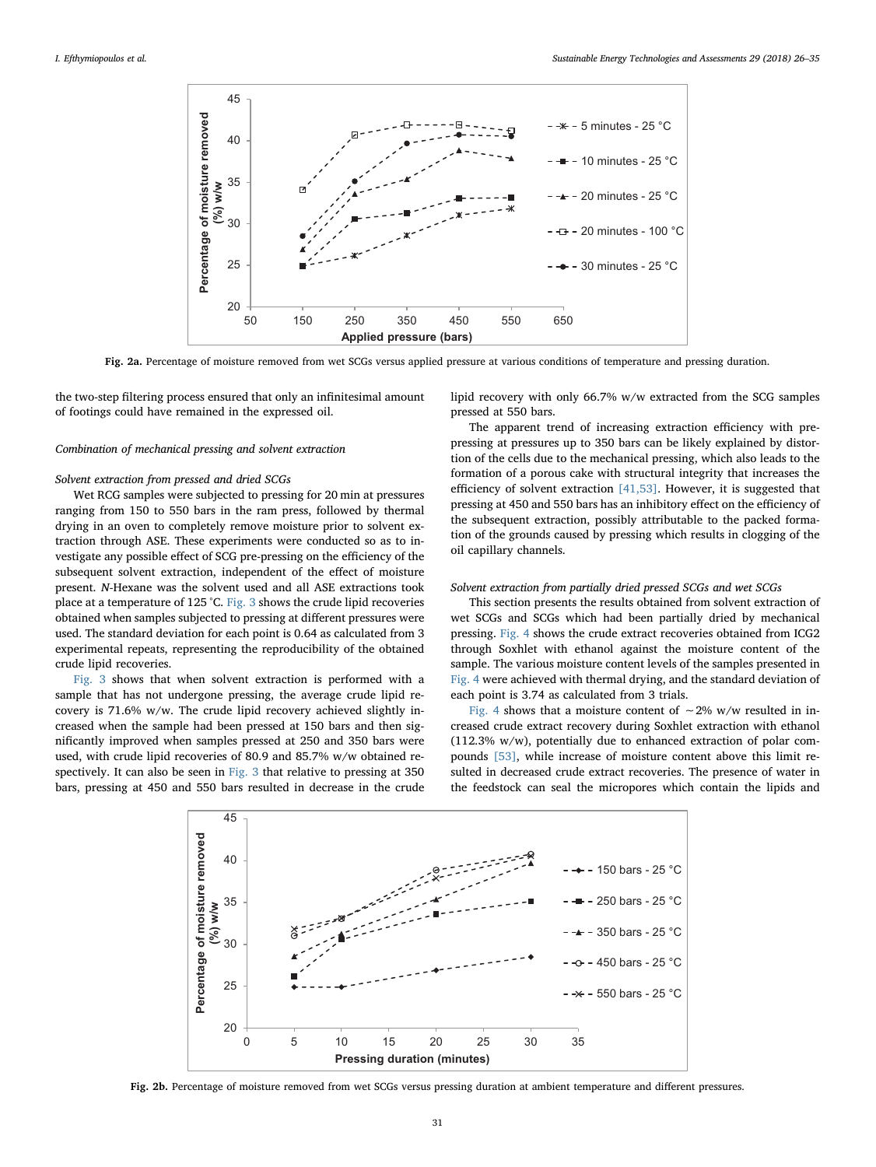<span id="page-5-0"></span>

Fig. 2a. Percentage of moisture removed from wet SCGs versus applied pressure at various conditions of temperature and pressing duration.

the two-step filtering process ensured that only an infinitesimal amount of footings could have remained in the expressed oil.

# Combination of mechanical pressing and solvent extraction

## Solvent extraction from pressed and dried SCGs

Wet RCG samples were subjected to pressing for 20 min at pressures ranging from 150 to 550 bars in the ram press, followed by thermal drying in an oven to completely remove moisture prior to solvent extraction through ASE. These experiments were conducted so as to investigate any possible effect of SCG pre-pressing on the efficiency of the subsequent solvent extraction, independent of the effect of moisture present. N-Hexane was the solvent used and all ASE extractions took place at a temperature of 125 °C. [Fig. 3](#page-6-0) shows the crude lipid recoveries obtained when samples subjected to pressing at different pressures were used. The standard deviation for each point is 0.64 as calculated from 3 experimental repeats, representing the reproducibility of the obtained crude lipid recoveries.

[Fig. 3](#page-6-0) shows that when solvent extraction is performed with a sample that has not undergone pressing, the average crude lipid recovery is 71.6% w/w. The crude lipid recovery achieved slightly increased when the sample had been pressed at 150 bars and then significantly improved when samples pressed at 250 and 350 bars were used, with crude lipid recoveries of 80.9 and 85.7% w/w obtained respectively. It can also be seen in [Fig. 3](#page-6-0) that relative to pressing at 350 bars, pressing at 450 and 550 bars resulted in decrease in the crude lipid recovery with only 66.7% w/w extracted from the SCG samples pressed at 550 bars.

The apparent trend of increasing extraction efficiency with prepressing at pressures up to 350 bars can be likely explained by distortion of the cells due to the mechanical pressing, which also leads to the formation of a porous cake with structural integrity that increases the efficiency of solvent extraction [\[41,53\]](#page-9-12). However, it is suggested that pressing at 450 and 550 bars has an inhibitory effect on the efficiency of the subsequent extraction, possibly attributable to the packed formation of the grounds caused by pressing which results in clogging of the oil capillary channels.

## Solvent extraction from partially dried pressed SCGs and wet SCGs

This section presents the results obtained from solvent extraction of wet SCGs and SCGs which had been partially dried by mechanical pressing. [Fig. 4](#page-6-1) shows the crude extract recoveries obtained from ICG2 through Soxhlet with ethanol against the moisture content of the sample. The various moisture content levels of the samples presented in [Fig. 4](#page-6-1) were achieved with thermal drying, and the standard deviation of each point is 3.74 as calculated from 3 trials.

[Fig. 4](#page-6-1) shows that a moisture content of ~2% w/w resulted in increased crude extract recovery during Soxhlet extraction with ethanol (112.3% w/w), potentially due to enhanced extraction of polar compounds [\[53\]](#page-9-32), while increase of moisture content above this limit resulted in decreased crude extract recoveries. The presence of water in the feedstock can seal the micropores which contain the lipids and

<span id="page-5-1"></span>

Fig. 2b. Percentage of moisture removed from wet SCGs versus pressing duration at ambient temperature and different pressures.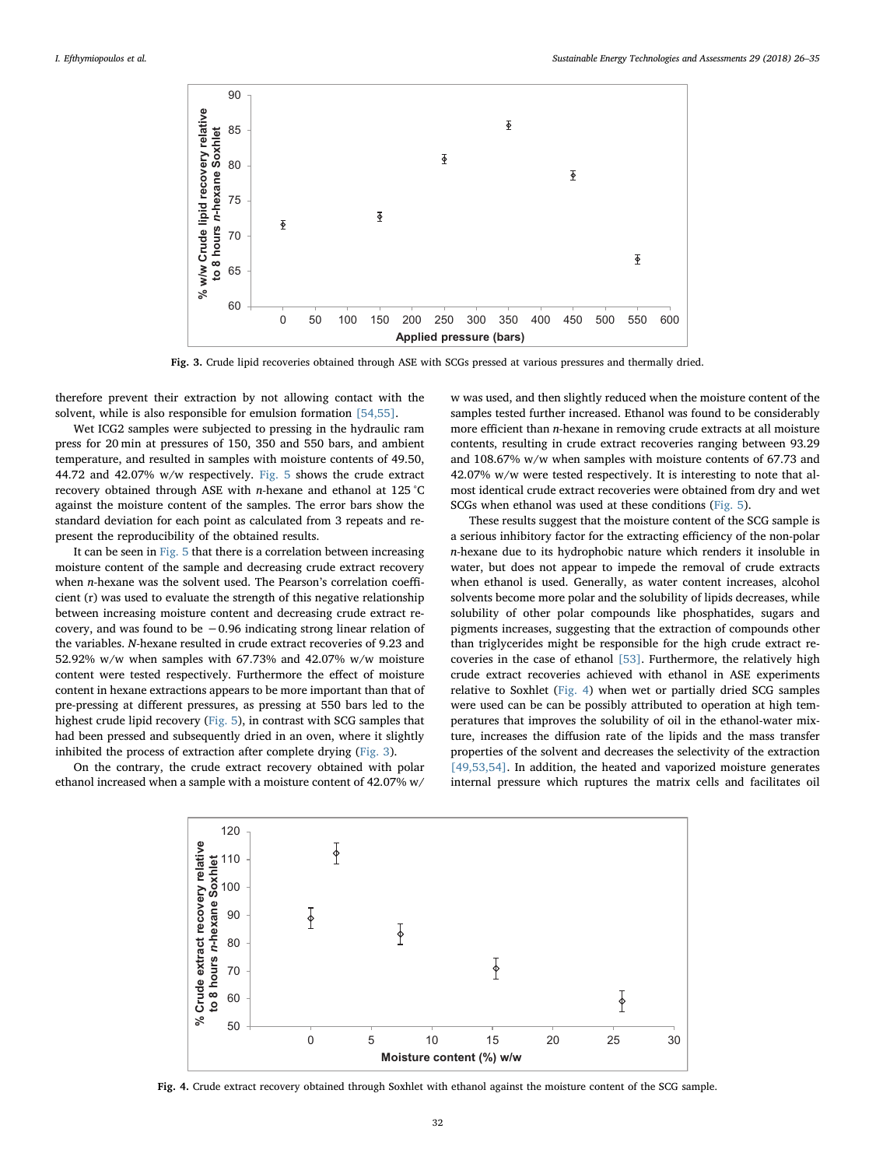<span id="page-6-0"></span>

Fig. 3. Crude lipid recoveries obtained through ASE with SCGs pressed at various pressures and thermally dried.

therefore prevent their extraction by not allowing contact with the solvent, while is also responsible for emulsion formation [\[54,55\]](#page-9-33).

Wet ICG2 samples were subjected to pressing in the hydraulic ram press for 20 min at pressures of 150, 350 and 550 bars, and ambient temperature, and resulted in samples with moisture contents of 49.50, 44.72 and 42.07% w/w respectively. [Fig. 5](#page-7-0) shows the crude extract recovery obtained through ASE with n-hexane and ethanol at 125 °C against the moisture content of the samples. The error bars show the standard deviation for each point as calculated from 3 repeats and represent the reproducibility of the obtained results.

It can be seen in [Fig. 5](#page-7-0) that there is a correlation between increasing moisture content of the sample and decreasing crude extract recovery when n-hexane was the solvent used. The Pearson's correlation coefficient (r) was used to evaluate the strength of this negative relationship between increasing moisture content and decreasing crude extract recovery, and was found to be −0.96 indicating strong linear relation of the variables. N-hexane resulted in crude extract recoveries of 9.23 and 52.92% w/w when samples with 67.73% and 42.07% w/w moisture content were tested respectively. Furthermore the effect of moisture content in hexane extractions appears to be more important than that of pre-pressing at different pressures, as pressing at 550 bars led to the highest crude lipid recovery ([Fig. 5\)](#page-7-0), in contrast with SCG samples that had been pressed and subsequently dried in an oven, where it slightly inhibited the process of extraction after complete drying ([Fig. 3](#page-6-0)).

<span id="page-6-1"></span>On the contrary, the crude extract recovery obtained with polar ethanol increased when a sample with a moisture content of 42.07% w/ w was used, and then slightly reduced when the moisture content of the samples tested further increased. Ethanol was found to be considerably more efficient than n-hexane in removing crude extracts at all moisture contents, resulting in crude extract recoveries ranging between 93.29 and 108.67% w/w when samples with moisture contents of 67.73 and 42.07% w/w were tested respectively. It is interesting to note that almost identical crude extract recoveries were obtained from dry and wet SCGs when ethanol was used at these conditions ([Fig. 5\)](#page-7-0).

These results suggest that the moisture content of the SCG sample is a serious inhibitory factor for the extracting efficiency of the non-polar n-hexane due to its hydrophobic nature which renders it insoluble in water, but does not appear to impede the removal of crude extracts when ethanol is used. Generally, as water content increases, alcohol solvents become more polar and the solubility of lipids decreases, while solubility of other polar compounds like phosphatides, sugars and pigments increases, suggesting that the extraction of compounds other than triglycerides might be responsible for the high crude extract recoveries in the case of ethanol [\[53\]](#page-9-32). Furthermore, the relatively high crude extract recoveries achieved with ethanol in ASE experiments relative to Soxhlet ([Fig. 4\)](#page-6-1) when wet or partially dried SCG samples were used can be can be possibly attributed to operation at high temperatures that improves the solubility of oil in the ethanol-water mixture, increases the diffusion rate of the lipids and the mass transfer properties of the solvent and decreases the selectivity of the extraction [\[49,53,54\].](#page-9-28) In addition, the heated and vaporized moisture generates internal pressure which ruptures the matrix cells and facilitates oil



Fig. 4. Crude extract recovery obtained through Soxhlet with ethanol against the moisture content of the SCG sample.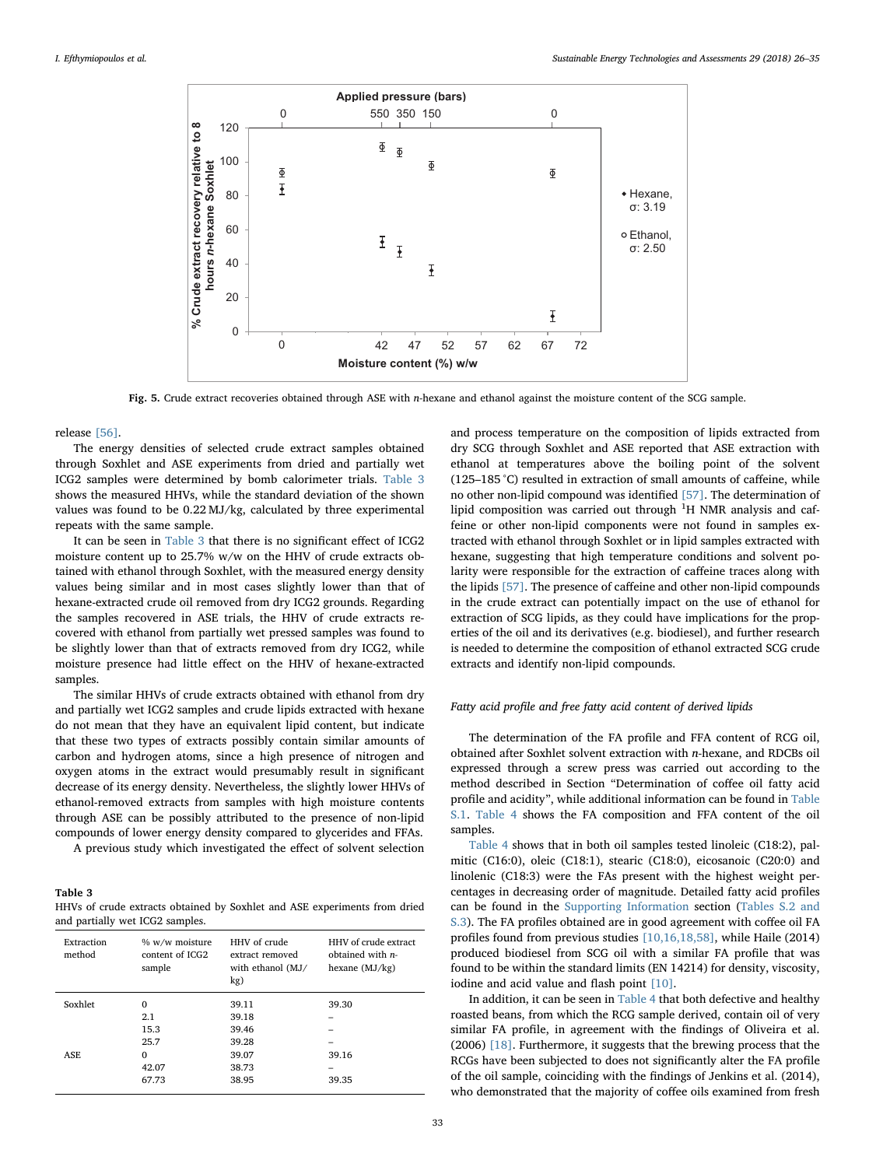<span id="page-7-0"></span>

Fig. 5. Crude extract recoveries obtained through ASE with n-hexane and ethanol against the moisture content of the SCG sample.

release [\[56\]](#page-9-34).

The energy densities of selected crude extract samples obtained through Soxhlet and ASE experiments from dried and partially wet ICG2 samples were determined by bomb calorimeter trials. [Table 3](#page-7-1) shows the measured HHVs, while the standard deviation of the shown values was found to be 0.22 MJ/kg, calculated by three experimental repeats with the same sample.

It can be seen in [Table 3](#page-7-1) that there is no significant effect of ICG2 moisture content up to 25.7% w/w on the HHV of crude extracts obtained with ethanol through Soxhlet, with the measured energy density values being similar and in most cases slightly lower than that of hexane-extracted crude oil removed from dry ICG2 grounds. Regarding the samples recovered in ASE trials, the HHV of crude extracts recovered with ethanol from partially wet pressed samples was found to be slightly lower than that of extracts removed from dry ICG2, while moisture presence had little effect on the HHV of hexane-extracted samples.

The similar HHVs of crude extracts obtained with ethanol from dry and partially wet ICG2 samples and crude lipids extracted with hexane do not mean that they have an equivalent lipid content, but indicate that these two types of extracts possibly contain similar amounts of carbon and hydrogen atoms, since a high presence of nitrogen and oxygen atoms in the extract would presumably result in significant decrease of its energy density. Nevertheless, the slightly lower HHVs of ethanol-removed extracts from samples with high moisture contents through ASE can be possibly attributed to the presence of non-lipid compounds of lower energy density compared to glycerides and FFAs.

A previous study which investigated the effect of solvent selection

<span id="page-7-1"></span>Table 3

HHVs of crude extracts obtained by Soxhlet and ASE experiments from dried and partially wet ICG2 samples.

| Extraction<br>method | % w/w moisture<br>content of ICG2<br>sample | HHV of crude<br>extract removed<br>with ethanol (MJ/<br>kg) | HHV of crude extract<br>obtained with $n-$<br>hexane $(MJ/kg)$ |
|----------------------|---------------------------------------------|-------------------------------------------------------------|----------------------------------------------------------------|
| Soxhlet              | $\mathbf 0$                                 | 39.11                                                       | 39.30                                                          |
|                      | 2.1                                         | 39.18                                                       |                                                                |
|                      | 15.3                                        | 39.46                                                       |                                                                |
|                      | 25.7                                        | 39.28                                                       |                                                                |
| ASE                  | $\Omega$                                    | 39.07                                                       | 39.16                                                          |
|                      | 42.07                                       | 38.73                                                       |                                                                |
|                      | 67.73                                       | 38.95                                                       | 39.35                                                          |
|                      |                                             |                                                             |                                                                |

and process temperature on the composition of lipids extracted from dry SCG through Soxhlet and ASE reported that ASE extraction with ethanol at temperatures above the boiling point of the solvent (125–185 °C) resulted in extraction of small amounts of caffeine, while no other non-lipid compound was identified [\[57\]](#page-9-35). The determination of lipid composition was carried out through  ${}^{1}H$  NMR analysis and caffeine or other non-lipid components were not found in samples extracted with ethanol through Soxhlet or in lipid samples extracted with hexane, suggesting that high temperature conditions and solvent polarity were responsible for the extraction of caffeine traces along with the lipids [\[57\].](#page-9-35) The presence of caffeine and other non-lipid compounds in the crude extract can potentially impact on the use of ethanol for extraction of SCG lipids, as they could have implications for the properties of the oil and its derivatives (e.g. biodiesel), and further research is needed to determine the composition of ethanol extracted SCG crude extracts and identify non-lipid compounds.

#### Fatty acid profile and free fatty acid content of derived lipids

The determination of the FA profile and FFA content of RCG oil, obtained after Soxhlet solvent extraction with n-hexane, and RDCBs oil expressed through a screw press was carried out according to the method described in Section "Determination of coffee oil fatty acid profile and acidity", while additional information can be found in Table S.1. [Table 4](#page-8-4) shows the FA composition and FFA content of the oil samples.

[Table 4](#page-8-4) shows that in both oil samples tested linoleic (C18:2), palmitic (C16:0), oleic (C18:1), stearic (C18:0), eicosanoic (C20:0) and linolenic (C18:3) were the FAs present with the highest weight percentages in decreasing order of magnitude. Detailed fatty acid profiles can be found in the Supporting Information section (Tables S.2 and S.3). The FA profiles obtained are in good agreement with coffee oil FA profiles found from previous studies [\[10,16,18,58\]](#page-9-4), while Haile (2014) produced biodiesel from SCG oil with a similar FA profile that was found to be within the standard limits (EN 14214) for density, viscosity, iodine and acid value and flash point [\[10\]](#page-9-4).

In addition, it can be seen in [Table 4](#page-8-4) that both defective and healthy roasted beans, from which the RCG sample derived, contain oil of very similar FA profile, in agreement with the findings of Oliveira et al. (2006) [\[18\].](#page-9-1) Furthermore, it suggests that the brewing process that the RCGs have been subjected to does not significantly alter the FA profile of the oil sample, coinciding with the findings of Jenkins et al. (2014), who demonstrated that the majority of coffee oils examined from fresh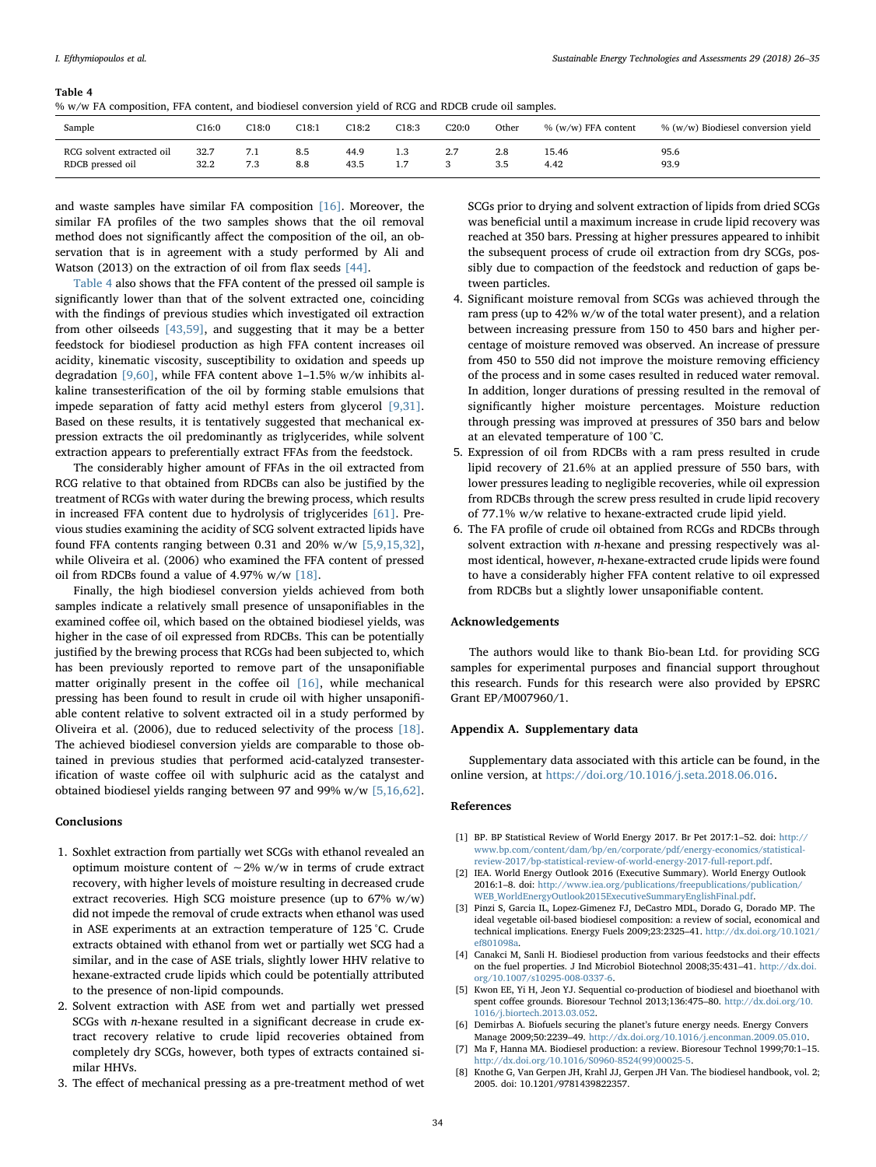### <span id="page-8-4"></span>Table 4

|  |  |  | % w/w FA composition. FFA content, and biodiesel conversion vield of RCG and RDCB crude oil samples. |  |
|--|--|--|------------------------------------------------------------------------------------------------------|--|
|--|--|--|------------------------------------------------------------------------------------------------------|--|

| Sample                    | C16:0 | C18:0 | C18:1 | C18:2 | C18:3 | C20:0 | Other | $\%$ (w/w) FFA content | % (w/w) Biodiesel conversion yield |
|---------------------------|-------|-------|-------|-------|-------|-------|-------|------------------------|------------------------------------|
| RCG solvent extracted oil | 32.7  | 7.1   | 8.5   | 44.9  | 1.3   | 2.7   | 2.8   | 15.46                  | 95.6                               |
| RDCB pressed oil          | 32.2  | 7.3   | 8.8   | 43.5  | 7     |       | 3.5   | 4.42                   | 93.9                               |

and waste samples have similar FA composition [\[16\]](#page-9-36). Moreover, the similar FA profiles of the two samples shows that the oil removal method does not significantly affect the composition of the oil, an observation that is in agreement with a study performed by Ali and Watson (2013) on the extraction of oil from flax seeds [\[44\]](#page-9-16).

[Table 4](#page-8-4) also shows that the FFA content of the pressed oil sample is significantly lower than that of the solvent extracted one, coinciding with the findings of previous studies which investigated oil extraction from other oilseeds [\[43,59\]](#page-9-13), and suggesting that it may be a better feedstock for biodiesel production as high FFA content increases oil acidity, kinematic viscosity, susceptibility to oxidation and speeds up degradation  $[9,60]$ , while FFA content above 1–1.5% w/w inhibits alkaline transesterification of the oil by forming stable emulsions that impede separation of fatty acid methyl esters from glycerol [\[9,31\]](#page-9-0). Based on these results, it is tentatively suggested that mechanical expression extracts the oil predominantly as triglycerides, while solvent extraction appears to preferentially extract FFAs from the feedstock.

The considerably higher amount of FFAs in the oil extracted from RCG relative to that obtained from RDCBs can also be justified by the treatment of RCGs with water during the brewing process, which results in increased FFA content due to hydrolysis of triglycerides [\[61\]](#page-9-37). Previous studies examining the acidity of SCG solvent extracted lipids have found FFA contents ranging between 0.31 and 20% w/w [\[5,9,15,32\]](#page-8-3), while Oliveira et al. (2006) who examined the FFA content of pressed oil from RDCBs found a value of 4.97% w/w [\[18\]](#page-9-1).

Finally, the high biodiesel conversion yields achieved from both samples indicate a relatively small presence of unsaponifiables in the examined coffee oil, which based on the obtained biodiesel yields, was higher in the case of oil expressed from RDCBs. This can be potentially justified by the brewing process that RCGs had been subjected to, which has been previously reported to remove part of the unsaponifiable matter originally present in the coffee oil [\[16\]](#page-9-36), while mechanical pressing has been found to result in crude oil with higher unsaponifiable content relative to solvent extracted oil in a study performed by Oliveira et al. (2006), due to reduced selectivity of the process [\[18\]](#page-9-1). The achieved biodiesel conversion yields are comparable to those obtained in previous studies that performed acid-catalyzed transesterification of waste coffee oil with sulphuric acid as the catalyst and obtained biodiesel yields ranging between 97 and 99% w/w [\[5,16,62\]](#page-8-3).

## Conclusions

- 1. Soxhlet extraction from partially wet SCGs with ethanol revealed an optimum moisture content of ∼2% w/w in terms of crude extract recovery, with higher levels of moisture resulting in decreased crude extract recoveries. High SCG moisture presence (up to 67% w/w) did not impede the removal of crude extracts when ethanol was used in ASE experiments at an extraction temperature of 125 °C. Crude extracts obtained with ethanol from wet or partially wet SCG had a similar, and in the case of ASE trials, slightly lower HHV relative to hexane-extracted crude lipids which could be potentially attributed to the presence of non-lipid compounds.
- 2. Solvent extraction with ASE from wet and partially wet pressed SCGs with n-hexane resulted in a significant decrease in crude extract recovery relative to crude lipid recoveries obtained from completely dry SCGs, however, both types of extracts contained similar HHVs.
- 3. The effect of mechanical pressing as a pre-treatment method of wet

SCGs prior to drying and solvent extraction of lipids from dried SCGs was beneficial until a maximum increase in crude lipid recovery was reached at 350 bars. Pressing at higher pressures appeared to inhibit the subsequent process of crude oil extraction from dry SCGs, possibly due to compaction of the feedstock and reduction of gaps between particles.

- 4. Significant moisture removal from SCGs was achieved through the ram press (up to 42% w/w of the total water present), and a relation between increasing pressure from 150 to 450 bars and higher percentage of moisture removed was observed. An increase of pressure from 450 to 550 did not improve the moisture removing efficiency of the process and in some cases resulted in reduced water removal. In addition, longer durations of pressing resulted in the removal of significantly higher moisture percentages. Moisture reduction through pressing was improved at pressures of 350 bars and below at an elevated temperature of 100 °C.
- 5. Expression of oil from RDCBs with a ram press resulted in crude lipid recovery of 21.6% at an applied pressure of 550 bars, with lower pressures leading to negligible recoveries, while oil expression from RDCBs through the screw press resulted in crude lipid recovery of 77.1% w/w relative to hexane-extracted crude lipid yield.
- 6. The FA profile of crude oil obtained from RCGs and RDCBs through solvent extraction with n-hexane and pressing respectively was almost identical, however, n-hexane-extracted crude lipids were found to have a considerably higher FFA content relative to oil expressed from RDCBs but a slightly lower unsaponifiable content.

## Acknowledgements

The authors would like to thank Bio-bean Ltd. for providing SCG samples for experimental purposes and financial support throughout this research. Funds for this research were also provided by EPSRC Grant EP/M007960/1.

# Appendix A. Supplementary data

Supplementary data associated with this article can be found, in the online version, at [https://doi.org/10.1016/j.seta.2018.06.016.](https://doi.org/10.1016/j.seta.2018.06.016)

## References

- <span id="page-8-0"></span>[1] BP. BP Statistical Review of World Energy 2017. Br Pet 2017:1–52. doi: [http://](http://www.bp.com/content/dam/bp/en/corporate/pdf/energy-economics/statistical-review-2017/bp-statistical-review-of-world-energy-2017-full-report.pdf) [www.bp.com/content/dam/bp/en/corporate/pdf/energy-economics/statistical-](http://www.bp.com/content/dam/bp/en/corporate/pdf/energy-economics/statistical-review-2017/bp-statistical-review-of-world-energy-2017-full-report.pdf)[review-2017/bp-statistical-review-of-world-energy-2017-full-report.pdf.](http://www.bp.com/content/dam/bp/en/corporate/pdf/energy-economics/statistical-review-2017/bp-statistical-review-of-world-energy-2017-full-report.pdf)
- <span id="page-8-1"></span>[2] IEA. World Energy Outlook 2016 (Executive Summary). World Energy Outlook 2016:1–8. doi: [http://www.iea.org/publications/freepublications/publication/](http://www.iea.org/publications/freepublications/publication/WEB_WorldEnergyOutlook2015ExecutiveSummaryEnglishFinal.pdf) [WEB\\_WorldEnergyOutlook2015ExecutiveSummaryEnglishFinal.pdf](http://www.iea.org/publications/freepublications/publication/WEB_WorldEnergyOutlook2015ExecutiveSummaryEnglishFinal.pdf).
- [3] Pinzi S, Garcia IL, Lopez-Gimenez FJ, DeCastro MDL, Dorado G, Dorado MP. The ideal vegetable oil-based biodiesel composition: a review of social, economical and technical implications. Energy Fuels 2009;23:2325–41. [http://dx.doi.org/10.1021/](http://dx.doi.org/10.1021/ef801098a) [ef801098a.](http://dx.doi.org/10.1021/ef801098a)
- <span id="page-8-2"></span>[4] Canakci M, Sanli H. Biodiesel production from various feedstocks and their effects on the fuel properties. J Ind Microbiol Biotechnol 2008;35:431–41. [http://dx.doi.](http://dx.doi.org/10.1007/s10295-008-0337-6) [org/10.1007/s10295-008-0337-6.](http://dx.doi.org/10.1007/s10295-008-0337-6)
- <span id="page-8-3"></span>[5] Kwon EE, Yi H, Jeon YJ. Sequential co-production of biodiesel and bioethanol with spent coffee grounds. Bioresour Technol 2013;136:475–80. [http://dx.doi.org/10.](http://dx.doi.org/10.1016/j.biortech.2013.03.052) [1016/j.biortech.2013.03.052.](http://dx.doi.org/10.1016/j.biortech.2013.03.052)
- [6] Demirbas A. Biofuels securing the planet's future energy needs. Energy Convers Manage 2009;50:2239–49. [http://dx.doi.org/10.1016/j.enconman.2009.05.010.](http://dx.doi.org/10.1016/j.enconman.2009.05.010)
- [7] Ma F, Hanna MA. Biodiesel production: a review. Bioresour Technol 1999;70:1–15. [http://dx.doi.org/10.1016/S0960-8524\(99\)00025-5.](http://dx.doi.org/10.1016/S0960-8524(99)00025-5)
- [8] Knothe G, Van Gerpen JH, Krahl JJ, Gerpen JH Van. The biodiesel handbook, vol. 2; 2005. doi: 10.1201/9781439822357.